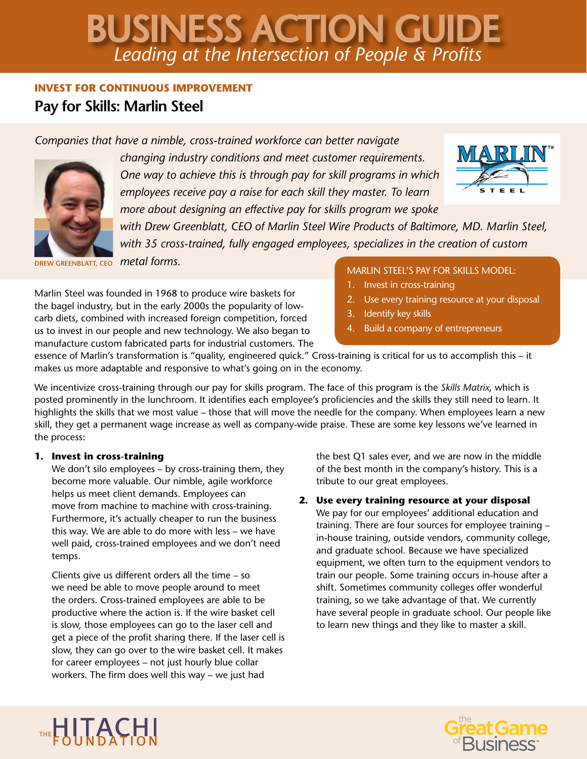# *Leading at the Intersection of People & Profits* BUSINESS ACTION GUIDE

### **INVEST FOR CONTINUOUS IMPROVEMENT**

## **Pay for Skills: Marlin Steel**

*Companies that have a nimble, cross-trained workforce can better navigate* 



*changing industry conditions and meet customer requirements. One way to achieve this is through pay for skill programs in which employees receive pay a raise for each skill they master. To learn more about designing an effective pay for skills program we spoke* 



*with Drew Greenblatt, CEO of Marlin Steel Wire Products of Baltimore, MD. Marlin Steel, with 35 cross-trained, fully engaged employees, specializes in the creation of custom* 

*metal forms.* **DREW GREENBLATT, CEO**

Marlin Steel was founded in 1968 to produce wire baskets for the bagel industry, but in the early 2000s the popularity of lowcarb diets, combined with increased foreign competition, forced us to invest in our people and new technology. We also began to manufacture custom fabricated parts for industrial customers. The

#### MARLIN STEEL'S PAY FOR SKILLS MODEL:

- 1. Invest in cross-training
- 2. Use every training resource at your disposal
- 3. Identify key skills
- 4. Build a company of entrepreneurs

essence of Marlin's transformation is "quality, engineered quick." Cross-training is critical for us to accomplish this – it makes us more adaptable and responsive to what's going on in the economy.

We incentivize cross-training through our pay for skills program. The face of this program is the *Skills Matrix*, which is posted prominently in the lunchroom. It identifies each employee's proficiencies and the skills they still need to learn. It highlights the skills that we most value – those that will move the needle for the company. When employees learn a new skill, they get a permanent wage increase as well as company-wide praise. These are some key lessons we've learned in the process:

#### **1. Invest in cross-training**

We don't silo employees – by cross-training them, they become more valuable. Our nimble, agile workforce helps us meet client demands. Employees can move from machine to machine with cross-training. Furthermore, it's actually cheaper to run the business this way. We are able to do more with less – we have well paid, cross-trained employees and we don't need temps.

Clients give us different orders all the time – so we need be able to move people around to meet the orders. Cross-trained employees are able to be productive where the action is. If the wire basket cell is slow, those employees can go to the laser cell and get a piece of the profit sharing there. If the laser cell is slow, they can go over to the wire basket cell. It makes for career employees – not just hourly blue collar workers. The firm does well this way – we just had

the best Q1 sales ever, and we are now in the middle of the best month in the company's history. This is a tribute to our great employees.

#### **2. Use every training resource at your disposal**

We pay for our employees' additional education and training. There are four sources for employee training – in-house training, outside vendors, community college, and graduate school. Because we have specialized equipment, we often turn to the equipment vendors to train our people. Some training occurs in-house after a shift. Sometimes community colleges offer wonderful training, so we take advantage of that. We currently have several people in graduate school. Our people like to learn new things and they like to master a skill.



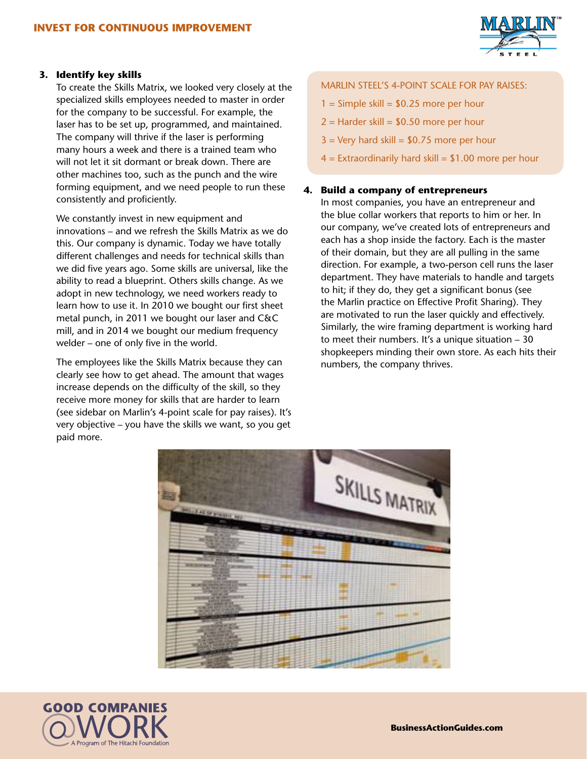

#### **3. Identify key skills**

To create the Skills Matrix, we looked very closely at the specialized skills employees needed to master in order for the company to be successful. For example, the laser has to be set up, programmed, and maintained. The company will thrive if the laser is performing many hours a week and there is a trained team who will not let it sit dormant or break down. There are other machines too, such as the punch and the wire forming equipment, and we need people to run these consistently and proficiently.

We constantly invest in new equipment and innovations – and we refresh the Skills Matrix as we do this. Our company is dynamic. Today we have totally different challenges and needs for technical skills than we did five years ago. Some skills are universal, like the ability to read a blueprint. Others skills change. As we adopt in new technology, we need workers ready to learn how to use it. In 2010 we bought our first sheet metal punch, in 2011 we bought our laser and C&C mill, and in 2014 we bought our medium frequency welder – one of only five in the world.

The employees like the Skills Matrix because they can clearly see how to get ahead. The amount that wages increase depends on the difficulty of the skill, so they receive more money for skills that are harder to learn (see sidebar on Marlin's 4-point scale for pay raises). It's very objective – you have the skills we want, so you get paid more.

#### MARLIN STEEL'S 4-POINT SCALE FOR PAY RAISES:

- $1 =$  Simple skill = \$0.25 more per hour
- $2 =$  Harder skill = \$0.50 more per hour
- $3 =$  Very hard skill =  $$0.75$  more per hour
- $4 =$  Extraordinarily hard skill = \$1.00 more per hour

#### **4. Build a company of entrepreneurs**

In most companies, you have an entrepreneur and the blue collar workers that reports to him or her. In our company, we've created lots of entrepreneurs and each has a shop inside the factory. Each is the master of their domain, but they are all pulling in the same direction. For example, a two-person cell runs the laser department. They have materials to handle and targets to hit; if they do, they get a significant bonus (see the Marlin practice on Effective Profit Sharing). They are motivated to run the laser quickly and effectively. Similarly, the wire framing department is working hard to meet their numbers. It's a unique situation – 30 shopkeepers minding their own store. As each hits their numbers, the company thrives.